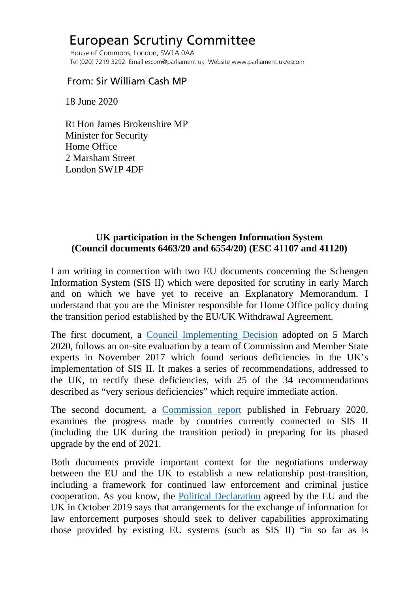## European Scrutiny Committee

 House of Commons, London, SW1A 0AA Tel (020) 7219 3292 Email escom@parliament.uk Website www.parliament.uk/escom

## From: Sir William Cash MP

18 June 2020

 Rt Hon James Brokenshire MP Minister for Security Home Office 2 Marsham Street London SW1P 4DF

## **UK participation in the Schengen Information System (Council documents 6463/20 and 6554/20) (ESC 41107 and 41120)**

I am writing in connection with two EU documents concerning the Schengen Information System (SIS II) which were deposited for scrutiny in early March and on which we have yet to receive an Explanatory Memorandum. I understand that you are the Minister responsible for Home Office policy during the transition period established by the EU/UK Withdrawal Agreement.

The first document, a [Council Implementing Decision](http://europeanmemoranda.cabinetoffice.gov.uk/files/2020/03/ST_6554_2020_INIT_EN.pdf) adopted on 5 March 2020, follows an on-site evaluation by a team of Commission and Member State experts in November 2017 which found serious deficiencies in the UK's implementation of SIS II. It makes a series of recommendations, addressed to the UK, to rectify these deficiencies, with 25 of the 34 recommendations described as "very serious deficiencies" which require immediate action.

The second document, a [Commission report](http://europeanmemoranda.cabinetoffice.gov.uk/files/2020/03/ST_6463_2020_INIT_EN.pdf) published in February 2020, examines the progress made by countries currently connected to SIS II (including the UK during the transition period) in preparing for its phased upgrade by the end of 2021.

Both documents provide important context for the negotiations underway between the EU and the UK to establish a new relationship post-transition, including a framework for continued law enforcement and criminal justice cooperation. As you know, the [Political Declaration](https://assets.publishing.service.gov.uk/government/uploads/system/uploads/attachment_data/file/840656/Political_Declaration_setting_out_the_framework_for_the_future_relationship_between_the_European_Union_and_the_United_Kingdom.pdf) agreed by the EU and the UK in October 2019 says that arrangements for the exchange of information for law enforcement purposes should seek to deliver capabilities approximating those provided by existing EU systems (such as SIS II) "in so far as is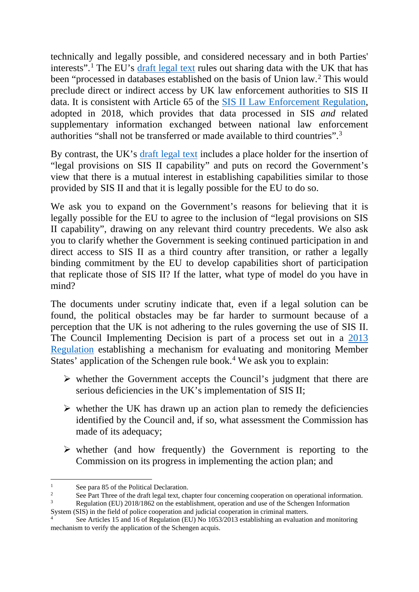technically and legally possible, and considered necessary and in both Parties' interests".[1](#page-1-0) The EU's [draft legal text](https://www.politico.eu/wp-content/uploads/2020/03/EU-draft-FTA-UK.pdf) rules out sharing data with the UK that has been "processed in databases established on the basis of Union law.[2](#page-1-1) This would preclude direct or indirect access by UK law enforcement authorities to SIS II data. It is consistent with Article 65 of the [SIS II Law Enforcement Regulation,](https://eur-lex.europa.eu/legal-content/EN/TXT/PDF/?uri=CELEX:32018R1862&from=en) adopted in 2018, which provides that data processed in SIS *and* related supplementary information exchanged between national law enforcement authorities "shall not be transferred or made available to third countries".[3](#page-1-2)

By contrast, the UK's [draft legal text](https://assets.publishing.service.gov.uk/government/uploads/system/uploads/attachment_data/file/886019/DRAFT_Agreement_on_Law_Enforcement_and_Judicial_Cooperation_in_Criminal_Matters.pdf) includes a place holder for the insertion of "legal provisions on SIS II capability" and puts on record the Government's view that there is a mutual interest in establishing capabilities similar to those provided by SIS II and that it is legally possible for the EU to do so.

We ask you to expand on the Government's reasons for believing that it is legally possible for the EU to agree to the inclusion of "legal provisions on SIS II capability", drawing on any relevant third country precedents. We also ask you to clarify whether the Government is seeking continued participation in and direct access to SIS II as a third country after transition, or rather a legally binding commitment by the EU to develop capabilities short of participation that replicate those of SIS II? If the latter, what type of model do you have in mind?

The documents under scrutiny indicate that, even if a legal solution can be found, the political obstacles may be far harder to surmount because of a perception that the UK is not adhering to the rules governing the use of SIS II. The Council Implementing Decision is part of a process set out in a [2013](https://eur-lex.europa.eu/legal-content/EN/TXT/PDF/?uri=CELEX:32013R1053&from=EN)  [Regulation](https://eur-lex.europa.eu/legal-content/EN/TXT/PDF/?uri=CELEX:32013R1053&from=EN) establishing a mechanism for evaluating and monitoring Member States' application of the Schengen rule book.<sup>[4](#page-1-3)</sup> We ask you to explain:

- $\triangleright$  whether the Government accepts the Council's judgment that there are serious deficiencies in the UK's implementation of SIS II;
- $\triangleright$  whether the UK has drawn up an action plan to remedy the deficiencies identified by the Council and, if so, what assessment the Commission has made of its adequacy;
- $\triangleright$  whether (and how frequently) the Government is reporting to the Commission on its progress in implementing the action plan; and

<span id="page-1-2"></span><span id="page-1-1"></span>

<span id="page-1-0"></span>See para 85 of the Political Declaration.<br>
See Part Three of the draft legal text, chapter four concerning cooperation on operational information.<br>
Regulation (EU) 2018/1862 on the establishment, operation and use of the S

<span id="page-1-3"></span>See Articles 15 and 16 of Regulation (EU) No 1053/2013 establishing an evaluation and monitoring mechanism to verify the application of the Schengen acquis.